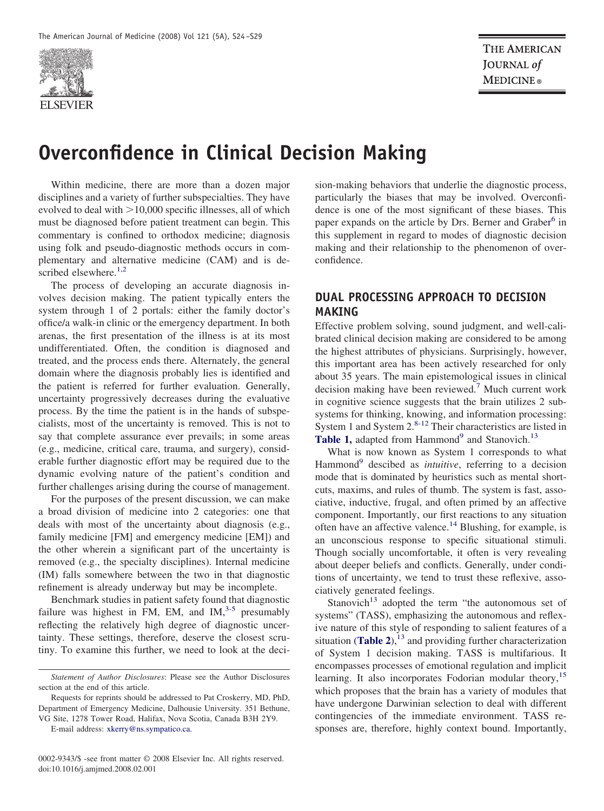

# **Overconfidence in Clinical Decision Making**

Within medicine, there are more than a dozen major disciplines and a variety of further subspecialties. They have evolved to deal with  $>10,000$  specific illnesses, all of which must be diagnosed before patient treatment can begin. This commentary is confined to orthodox medicine; diagnosis using folk and pseudo-diagnostic methods occurs in complementary and alternative medicine (CAM) and is de-scribed elsewhere.<sup>[1,2](#page-4-0)</sup>

The process of developing an accurate diagnosis involves decision making. The patient typically enters the system through 1 of 2 portals: either the family doctor's office/a walk-in clinic or the emergency department. In both arenas, the first presentation of the illness is at its most undifferentiated. Often, the condition is diagnosed and treated, and the process ends there. Alternately, the general domain where the diagnosis probably lies is identified and the patient is referred for further evaluation. Generally, uncertainty progressively decreases during the evaluative process. By the time the patient is in the hands of subspecialists, most of the uncertainty is removed. This is not to say that complete assurance ever prevails; in some areas (e.g., medicine, critical care, trauma, and surgery), considerable further diagnostic effort may be required due to the dynamic evolving nature of the patient's condition and further challenges arising during the course of management.

For the purposes of the present discussion, we can make a broad division of medicine into 2 categories: one that deals with most of the uncertainty about diagnosis (e.g., family medicine [FM] and emergency medicine [EM]) and the other wherein a significant part of the uncertainty is removed (e.g., the specialty disciplines). Internal medicine (IM) falls somewhere between the two in that diagnostic refinement is already underway but may be incomplete.

Benchmark studies in patient safety found that diagnostic failure was highest in FM, EM, and  $IM,$ <sup>[3-5](#page-4-0)</sup> presumably reflecting the relatively high degree of diagnostic uncertainty. These settings, therefore, deserve the closest scrutiny. To examine this further, we need to look at the deci-

0002-9343/\$ -see front matter © 2008 Elsevier Inc. All rights reserved. doi:10.1016/j.amjmed.2008.02.001

sion-making behaviors that underlie the diagnostic process, particularly the biases that may be involved. Overconfidence is one of the most significant of these biases. This paper expands on the article by Drs. Berner and Graber<sup>[6](#page-4-0)</sup> in this supplement in regard to modes of diagnostic decision making and their relationship to the phenomenon of overconfidence.

## **DUAL PROCESSING APPROACH TO DECISION MAKING**

Effective problem solving, sound judgment, and well-calibrated clinical decision making are considered to be among the highest attributes of physicians. Surprisingly, however, this important area has been actively researched for only about 35 years. The main epistemological issues in clinical decision making have been reviewed. [7](#page-4-0) Much current work in cognitive science suggests that the brain utilizes 2 subsystems for thinking, knowing, and information processing: System 1 and System 2. [8-12](#page-4-0) Their characteristics are listed in **[Table 1](#page-1-0),** adapted from Hammond<sup>[9](#page-4-0)</sup> and Stanovich.<sup>[13](#page-4-0)</sup>

What is now known as System 1 corresponds to what Hammond<sup>[9](#page-4-0)</sup> descibed as *intuitive*, referring to a decision mode that is dominated by heuristics such as mental shortcuts, maxims, and rules of thumb. The system is fast, associative, inductive, frugal, and often primed by an affective component. Importantly, our first reactions to any situation often have an affective valence. [14](#page-4-0) Blushing, for example, is an unconscious response to specific situational stimuli. Though socially uncomfortable, it often is very revealing about deeper beliefs and conflicts. Generally, under conditions of uncertainty, we tend to trust these reflexive, associatively generated feelings.

Stanovich<sup>[13](#page-4-0)</sup> adopted the term "the autonomous set of systems" (TASS), emphasizing the autonomous and reflexive nature of this style of responding to salient features of a situation (**[Table 2](#page-1-0)**), [13](#page-4-0) and providing further characterization of System 1 decision making. TASS is multifarious. It encompasses processes of emotional regulation and implicit learning. It also incorporates Fodorian modular theory,<sup>[15](#page-4-0)</sup> which proposes that the brain has a variety of modules that have undergone Darwinian selection to deal with different contingencies of the immediate environment. TASS responses are, therefore, highly context bound. Importantly,

*Statement of Author Disclosures*: Please see the Author Disclosures section at the end of this article.

Requests for reprints should be addressed to Pat Croskerry, MD, PhD, Department of Emergency Medicine, Dalhousie University. 351 Bethune, VG Site, 1278 Tower Road, Halifax, Nova Scotia, Canada B3H 2Y9.

E-mail address: [xkerry@ns.sympatico.ca.](mailto:xkerry@ns.sympatico.ca)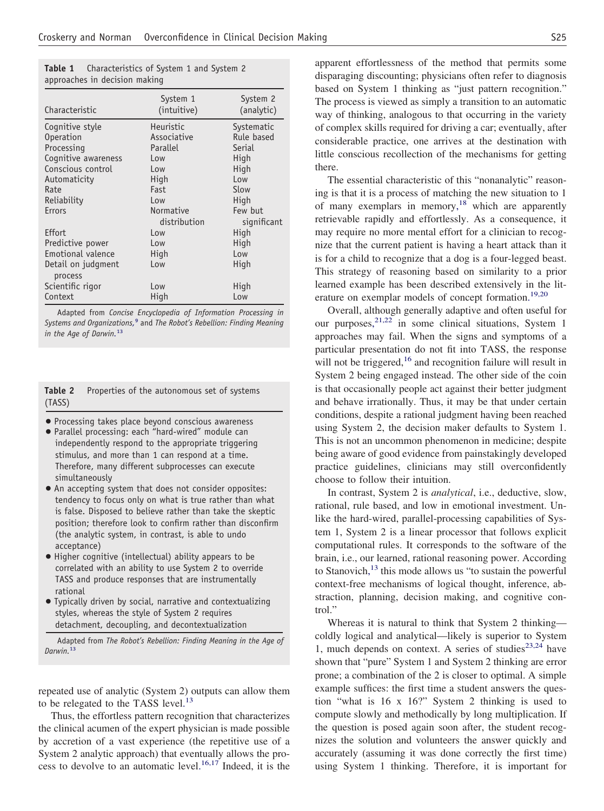<span id="page-1-0"></span>Table 1 Characteristics of System 1 and System 2 approaches in decision making

| Characteristic                | System 1<br>(intuitive) | System 2<br>(analytic) |
|-------------------------------|-------------------------|------------------------|
| Cognitive style               | Heuristic               | Systematic             |
| <b>Operation</b>              | Associative             | Rule based             |
| Processing                    | Parallel                | Serial                 |
| Cognitive awareness           | Low                     | High                   |
| Conscious control             | Low                     | High                   |
| Automaticity                  | High                    | Low                    |
| Rate                          | Fast                    | Slow                   |
| Reliability                   | Low                     | High                   |
| Errors                        | Normative               | Few but                |
|                               | distribution            | significant            |
| <b>Effort</b>                 | Low                     | High                   |
| Predictive power              | Low                     | High                   |
| Emotional valence             | High                    | Low                    |
| Detail on judgment<br>process | Low                     | High                   |
| Scientific rigor              | Low                     | High                   |
| Context                       | High                    | Low                    |

Adapted from *Concise Encyclopedia of Information Processing in Systems and Organizations,* [9](#page-4-0) and *The Robot's Rebellion: Finding Meaning in the Age of Darwin.* [13](#page-4-0)

|        |  | <b>Table 2</b> Properties of the autonomous set of systems |  |  |
|--------|--|------------------------------------------------------------|--|--|
| (TASS) |  |                                                            |  |  |

- Processing takes place beyond conscious awareness
- Parallel processing: each "hard-wired" module can independently respond to the appropriate triggering stimulus, and more than 1 can respond at a time. Therefore, many different subprocesses can execute simultaneously
- An accepting system that does not consider opposites: tendency to focus only on what is true rather than what is false. Disposed to believe rather than take the skeptic position; therefore look to confirm rather than disconfirm (the analytic system, in contrast, is able to undo acceptance)
- Higher cognitive (intellectual) ability appears to be correlated with an ability to use System 2 to override TASS and produce responses that are instrumentally rational
- Typically driven by social, narrative and contextualizing styles, whereas the style of System 2 requires detachment, decoupling, and decontextualization

Adapted from *The Robot's Rebellion: Finding Meaning in the Age of Darwin.*[13](#page-4-0)

repeated use of analytic (System 2) outputs can allow them to be relegated to the TASS level.<sup>[13](#page-4-0)</sup>

Thus, the effortless pattern recognition that characterizes the clinical acumen of the expert physician is made possible by accretion of a vast experience (the repetitive use of a System 2 analytic approach) that eventually allows the pro-cess to devolve to an automatic level.<sup>[16,17](#page-5-0)</sup> Indeed, it is the

apparent effortlessness of the method that permits some disparaging discounting; physicians often refer to diagnosis based on System 1 thinking as "just pattern recognition." The process is viewed as simply a transition to an automatic way of thinking, analogous to that occurring in the variety of complex skills required for driving a car; eventually, after considerable practice, one arrives at the destination with little conscious recollection of the mechanisms for getting there.

The essential characteristic of this "nonanalytic" reasoning is that it is a process of matching the new situation to 1 of many exemplars in memory,<sup>[18](#page-5-0)</sup> which are apparently retrievable rapidly and effortlessly. As a consequence, it may require no more mental effort for a clinician to recognize that the current patient is having a heart attack than it is for a child to recognize that a dog is a four-legged beast. This strategy of reasoning based on similarity to a prior learned example has been described extensively in the lit-erature on exemplar models of concept formation.<sup>[19,20](#page-5-0)</sup>

Overall, although generally adaptive and often useful for our purposes,<sup>[21,22](#page-5-0)</sup> in some clinical situations, System 1 approaches may fail. When the signs and symptoms of a particular presentation do not fit into TASS, the response will not be triggered,<sup>[16](#page-5-0)</sup> and recognition failure will result in System 2 being engaged instead. The other side of the coin is that occasionally people act against their better judgment and behave irrationally. Thus, it may be that under certain conditions, despite a rational judgment having been reached using System 2, the decision maker defaults to System 1. This is not an uncommon phenomenon in medicine; despite being aware of good evidence from painstakingly developed practice guidelines, clinicians may still overconfidently choose to follow their intuition.

In contrast, System 2 is *analytical*, i.e., deductive, slow, rational, rule based, and low in emotional investment. Unlike the hard-wired, parallel-processing capabilities of System 1, System 2 is a linear processor that follows explicit computational rules. It corresponds to the software of the brain, i.e., our learned, rational reasoning power. According to Stanovich,<sup>[13](#page-4-0)</sup> this mode allows us "to sustain the powerful context-free mechanisms of logical thought, inference, abstraction, planning, decision making, and cognitive control."

Whereas it is natural to think that System 2 thinking coldly logical and analytical—likely is superior to System 1, much depends on context. A series of studies $^{23,24}$  have shown that "pure" System 1 and System 2 thinking are error prone; a combination of the 2 is closer to optimal. A simple example suffices: the first time a student answers the question "what is 16 x 16?" System 2 thinking is used to compute slowly and methodically by long multiplication. If the question is posed again soon after, the student recognizes the solution and volunteers the answer quickly and accurately (assuming it was done correctly the first time) using System 1 thinking. Therefore, it is important for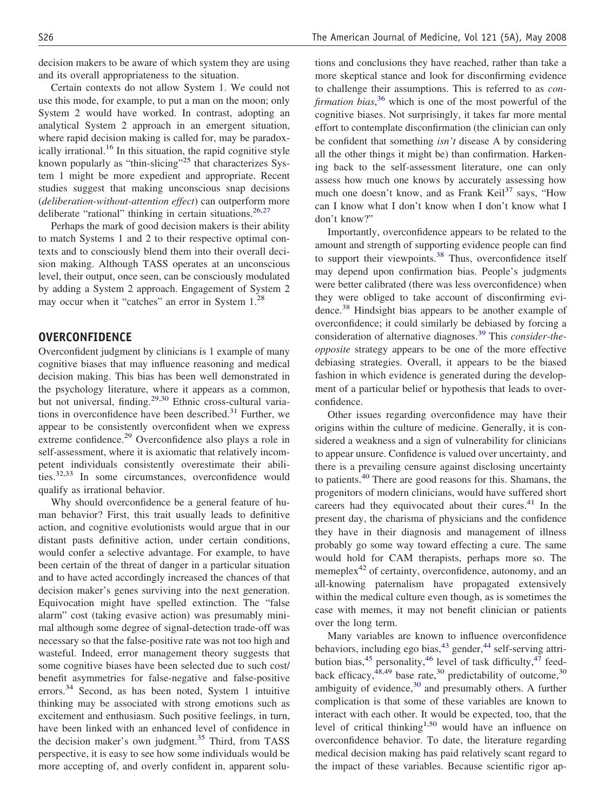decision makers to be aware of which system they are using and its overall appropriateness to the situation.

Certain contexts do not allow System 1. We could not use this mode, for example, to put a man on the moon; only System 2 would have worked. In contrast, adopting an analytical System 2 approach in an emergent situation, where rapid decision making is called for, may be paradoxically irrational.<sup>16</sup> In this situation, the rapid cognitive style known popularly as "thin-slicing"<sup>25</sup> that characterizes System 1 might be more expedient and appropriate. Recent studies suggest that making unconscious snap decisions (*deliberation-without-attention effect*) can outperform more deliberate "rational" thinking in certain situations.<sup>[26,27](#page-5-0)</sup>

Perhaps the mark of good decision makers is their ability to match Systems 1 and 2 to their respective optimal contexts and to consciously blend them into their overall decision making. Although TASS operates at an unconscious level, their output, once seen, can be consciously modulated by adding a System 2 approach. Engagement of System 2 may occur when it "catches" an error in System 1.<sup>[28](#page-5-0)</sup>

#### **OVERCONFIDENCE**

Overconfident judgment by clinicians is 1 example of many cognitive biases that may influence reasoning and medical decision making. This bias has been well demonstrated in the psychology literature, where it appears as a common, but not universal, finding.<sup>[29,30](#page-5-0)</sup> Ethnic cross-cultural variations in overconfidence have been described. [31](#page-5-0) Further, we appear to be consistently overconfident when we express extreme confidence. [29](#page-5-0) Overconfidence also plays a role in self-assessment, where it is axiomatic that relatively incompetent individuals consistently overestimate their abili-ties.<sup>[32,33](#page-5-0)</sup> In some circumstances, overconfidence would qualify as irrational behavior.

Why should overconfidence be a general feature of human behavior? First, this trait usually leads to definitive action, and cognitive evolutionists would argue that in our distant pasts definitive action, under certain conditions, would confer a selective advantage. For example, to have been certain of the threat of danger in a particular situation and to have acted accordingly increased the chances of that decision maker's genes surviving into the next generation. Equivocation might have spelled extinction. The "false alarm" cost (taking evasive action) was presumably minimal although some degree of signal-detection trade-off was necessary so that the false-positive rate was not too high and wasteful. Indeed, error management theory suggests that some cognitive biases have been selected due to such cost/ benefit asymmetries for false-negative and false-positive errors. [34](#page-5-0) Second, as has been noted, System 1 intuitive thinking may be associated with strong emotions such as excitement and enthusiasm. Such positive feelings, in turn, have been linked with an enhanced level of confidence in the decision maker's own judgment.<sup>[35](#page-5-0)</sup> Third, from TASS perspective, it is easy to see how some individuals would be more accepting of, and overly confident in, apparent solutions and conclusions they have reached, rather than take a more skeptical stance and look for disconfirming evidence to challenge their assumptions. This is referred to as *confirmation bias*, [36](#page-5-0) which is one of the most powerful of the cognitive biases. Not surprisingly, it takes far more mental effort to contemplate disconfirmation (the clinician can only be confident that something *isn't* disease A by considering all the other things it might be) than confirmation. Harkening back to the self-assessment literature, one can only assess how much one knows by accurately assessing how much one doesn't know, and as Frank Keil<sup>[37](#page-5-0)</sup> says, "How can I know what I don't know when I don't know what I don't know?"

Importantly, overconfidence appears to be related to the amount and strength of supporting evidence people can find to support their viewpoints.<sup>[38](#page-5-0)</sup> Thus, overconfidence itself may depend upon confirmation bias. People's judgments were better calibrated (there was less overconfidence) when they were obliged to take account of disconfirming evidence.<sup>38</sup> Hindsight bias appears to be another example of overconfidence; it could similarly be debiased by forcing a consideration of alternative diagnoses.[39](#page-5-0) This *consider-theopposite* strategy appears to be one of the more effective debiasing strategies. Overall, it appears to be the biased fashion in which evidence is generated during the development of a particular belief or hypothesis that leads to overconfidence.

Other issues regarding overconfidence may have their origins within the culture of medicine. Generally, it is considered a weakness and a sign of vulnerability for clinicians to appear unsure. Confidence is valued over uncertainty, and there is a prevailing censure against disclosing uncertainty to patients. [40](#page-5-0) There are good reasons for this. Shamans, the progenitors of modern clinicians, would have suffered short careers had they equivocated about their cures.<sup>[41](#page-5-0)</sup> In the present day, the charisma of physicians and the confidence they have in their diagnosis and management of illness probably go some way toward effecting a cure. The same would hold for CAM therapists, perhaps more so. The memeplex<sup>[42](#page-5-0)</sup> of certainty, overconfidence, autonomy, and an all-knowing paternalism have propagated extensively within the medical culture even though, as is sometimes the case with memes, it may not benefit clinician or patients over the long term.

Many variables are known to influence overconfidence behaviors, including ego bias,  $43$  gender,  $44$  self-serving attri-bution bias,<sup>[45](#page-5-0)</sup> personality,<sup>[46](#page-5-0)</sup> level of task difficulty,<sup>[47](#page-5-0)</sup> feedback efficacy,  $48,49$  base rate,  $30$  predictability of outcome,  $30$ ambiguity of evidence, $30$  and presumably others. A further complication is that some of these variables are known to interact with each other. It would be expected, too, that the level of critical thinking<sup>[1,50](#page-4-0)</sup> would have an influence on overconfidence behavior. To date, the literature regarding medical decision making has paid relatively scant regard to the impact of these variables. Because scientific rigor ap-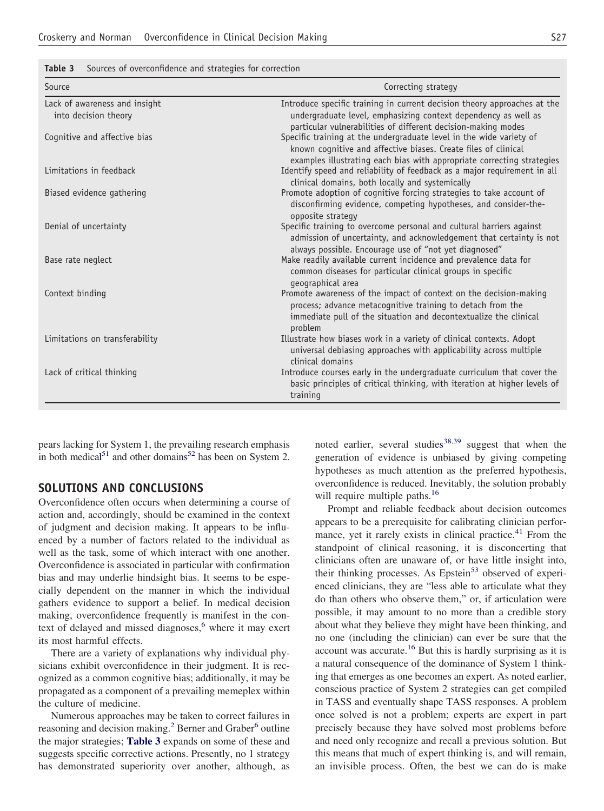| Table 3 | Sources of overconfidence and strategies for correction |  |
|---------|---------------------------------------------------------|--|
|         |                                                         |  |

| Source                         | Correcting strategy                                                                                                                                                                                                                                                              |
|--------------------------------|----------------------------------------------------------------------------------------------------------------------------------------------------------------------------------------------------------------------------------------------------------------------------------|
| Lack of awareness and insight  | Introduce specific training in current decision theory approaches at the                                                                                                                                                                                                         |
| into decision theory           | undergraduate level, emphasizing context dependency as well as                                                                                                                                                                                                                   |
| Cognitive and affective bias   | particular vulnerabilities of different decision-making modes<br>Specific training at the undergraduate level in the wide variety of<br>known cognitive and affective biases. Create files of clinical<br>examples illustrating each bias with appropriate correcting strategies |
| Limitations in feedback        | Identify speed and reliability of feedback as a major requirement in all<br>clinical domains, both locally and systemically                                                                                                                                                      |
| Biased evidence gathering      | Promote adoption of cognitive forcing strategies to take account of<br>disconfirming evidence, competing hypotheses, and consider-the-<br>opposite strategy                                                                                                                      |
| Denial of uncertainty          | Specific training to overcome personal and cultural barriers against<br>admission of uncertainty, and acknowledgement that certainty is not<br>always possible. Encourage use of "not yet diagnosed"                                                                             |
| Base rate neglect              | Make readily available current incidence and prevalence data for<br>common diseases for particular clinical groups in specific<br>geographical area                                                                                                                              |
| Context binding                | Promote awareness of the impact of context on the decision-making<br>process; advance metacognitive training to detach from the<br>immediate pull of the situation and decontextualize the clinical<br>problem                                                                   |
| Limitations on transferability | Illustrate how biases work in a variety of clinical contexts. Adopt<br>universal debiasing approaches with applicability across multiple<br>clinical domains                                                                                                                     |
| Lack of critical thinking      | Introduce courses early in the undergraduate curriculum that cover the<br>basic principles of critical thinking, with iteration at higher levels of<br>training                                                                                                                  |

pears lacking for System 1, the prevailing research emphasis in both medical<sup>[51](#page-5-0)</sup> and other domains<sup>[52](#page-5-0)</sup> has been on System 2.

#### **SOLUTIONS AND CONCLUSIONS**

Overconfidence often occurs when determining a course of action and, accordingly, should be examined in the context of judgment and decision making. It appears to be influenced by a number of factors related to the individual as well as the task, some of which interact with one another. Overconfidence is associated in particular with confirmation bias and may underlie hindsight bias. It seems to be especially dependent on the manner in which the individual gathers evidence to support a belief. In medical decision making, overconfidence frequently is manifest in the context of delayed and missed diagnoses,<sup>6</sup> where it may exert its most harmful effects.

There are a variety of explanations why individual physicians exhibit overconfidence in their judgment. It is recognized as a common cognitive bias; additionally, it may be propagated as a component of a prevailing memeplex within the culture of medicine.

Numerous approaches may be taken to correct failures in reasoning and decision making.<sup>[2](#page-4-0)</sup> Berner and Graber<sup>[6](#page-4-0)</sup> outline the major strategies; **Table 3** expands on some of these and suggests specific corrective actions. Presently, no 1 strategy has demonstrated superiority over another, although, as

noted earlier, several studies<sup>[38,39](#page-5-0)</sup> suggest that when the generation of evidence is unbiased by giving competing hypotheses as much attention as the preferred hypothesis, overconfidence is reduced. Inevitably, the solution probably will require multiple paths.<sup>[16](#page-5-0)</sup>

Prompt and reliable feedback about decision outcomes appears to be a prerequisite for calibrating clinician perfor-mance, yet it rarely exists in clinical practice.<sup>[41](#page-5-0)</sup> From the standpoint of clinical reasoning, it is disconcerting that clinicians often are unaware of, or have little insight into, their thinking processes. As Epstein<sup>53</sup> observed of experienced clinicians, they are "less able to articulate what they do than others who observe them," or, if articulation were possible, it may amount to no more than a credible story about what they believe they might have been thinking, and no one (including the clinician) can ever be sure that the account was accurate. [16](#page-5-0) But this is hardly surprising as it is a natural consequence of the dominance of System 1 thinking that emerges as one becomes an expert. As noted earlier, conscious practice of System 2 strategies can get compiled in TASS and eventually shape TASS responses. A problem once solved is not a problem; experts are expert in part precisely because they have solved most problems before and need only recognize and recall a previous solution. But this means that much of expert thinking is, and will remain, an invisible process. Often, the best we can do is make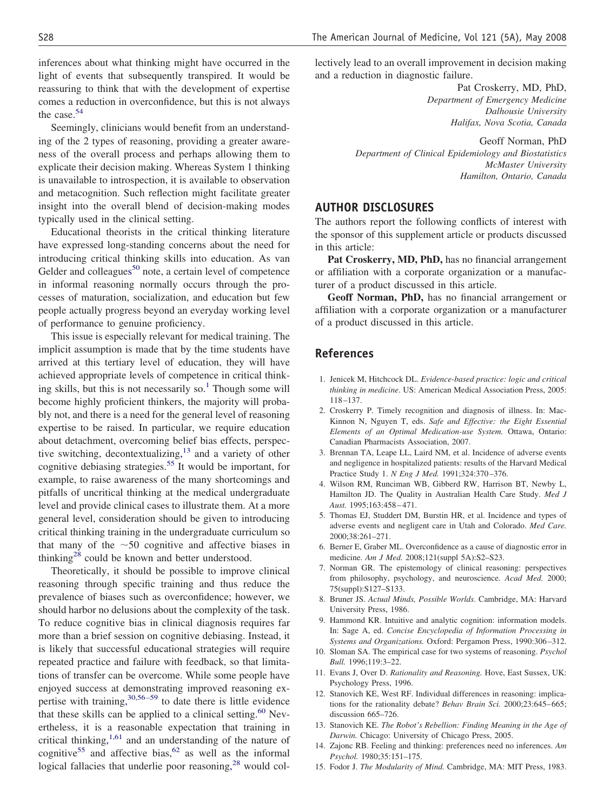<span id="page-4-0"></span>inferences about what thinking might have occurred in the light of events that subsequently transpired. It would be reassuring to think that with the development of expertise comes a reduction in overconfidence, but this is not always the case. [54](#page-5-0)

Seemingly, clinicians would benefit from an understanding of the 2 types of reasoning, providing a greater awareness of the overall process and perhaps allowing them to explicate their decision making. Whereas System 1 thinking is unavailable to introspection, it is available to observation and metacognition. Such reflection might facilitate greater insight into the overall blend of decision-making modes typically used in the clinical setting.

Educational theorists in the critical thinking literature have expressed long-standing concerns about the need for introducing critical thinking skills into education. As van Gelder and colleagues<sup>[50](#page-5-0)</sup> note, a certain level of competence in informal reasoning normally occurs through the processes of maturation, socialization, and education but few people actually progress beyond an everyday working level of performance to genuine proficiency.

This issue is especially relevant for medical training. The implicit assumption is made that by the time students have arrived at this tertiary level of education, they will have achieved appropriate levels of competence in critical thinking skills, but this is not necessarily so. <sup>1</sup> Though some will become highly proficient thinkers, the majority will probably not, and there is a need for the general level of reasoning expertise to be raised. In particular, we require education about detachment, overcoming belief bias effects, perspective switching, decontextualizing, <sup>13</sup> and a variety of other cognitive debiasing strategies.<sup>[55](#page-5-0)</sup> It would be important, for example, to raise awareness of the many shortcomings and pitfalls of uncritical thinking at the medical undergraduate level and provide clinical cases to illustrate them. At a more general level, consideration should be given to introducing critical thinking training in the undergraduate curriculum so that many of the  $\sim$  50 cognitive and affective biases in thinking<sup>[28](#page-5-0)</sup> could be known and better understood.

Theoretically, it should be possible to improve clinical reasoning through specific training and thus reduce the prevalence of biases such as overconfidence; however, we should harbor no delusions about the complexity of the task. To reduce cognitive bias in clinical diagnosis requires far more than a brief session on cognitive debiasing. Instead, it is likely that successful educational strategies will require repeated practice and failure with feedback, so that limitations of transfer can be overcome. While some people have enjoyed success at demonstrating improved reasoning expertise with training,<sup>30,56–59</sup> to date there is little evidence that these skills can be applied to a clinical setting.<sup>[60](#page-5-0)</sup> Nevertheless, it is a reasonable expectation that training in critical thinking,  $1,61$  and an understanding of the nature of cognitive<sup>[55](#page-5-0)</sup> and affective bias,<sup>[62](#page-5-0)</sup> as well as the informal logical fallacies that underlie poor reasoning,<sup>[28](#page-5-0)</sup> would collectively lead to an overall improvement in decision making and a reduction in diagnostic failure.

> Pat Croskerry, MD, PhD, *Department of Emergency Medicine Dalhousie University Halifax, Nova Scotia, Canada*

Geoff Norman, PhD *Department of Clinical Epidemiology and Biostatistics McMaster University Hamilton, Ontario, Canada*

#### **AUTHOR DISCLOSURES**

The authors report the following conflicts of interest with the sponsor of this supplement article or products discussed in this article:

Pat Croskerry, MD, PhD, has no financial arrangement or affiliation with a corporate organization or a manufacturer of a product discussed in this article.

**Geoff Norman, PhD,** has no financial arrangement or affiliation with a corporate organization or a manufacturer of a product discussed in this article.

### **References**

- 1. Jenicek M, Hitchcock DL. *Evidence-based practice: logic and critical thinking in medicine*. US: American Medical Association Press, 2005: 118 –137.
- 2. Croskerry P. Timely recognition and diagnosis of illness. In: Mac-Kinnon N, Nguyen T, eds. *Safe and Effective: the Eight Essential Elements of an Optimal Medication-use System.* Ottawa, Ontario: Canadian Pharmacists Association, 2007.
- 3. Brennan TA, Leape LL, Laird NM, et al. Incidence of adverse events and negligence in hospitalized patients: results of the Harvard Medical Practice Study 1. *N Eng J Med.* 1991;324:370 –376.
- 4. Wilson RM, Runciman WB, Gibberd RW, Harrison BT, Newby L, Hamilton JD. The Quality in Australian Health Care Study. *Med J Aust.* 1995;163:458 – 471.
- 5. Thomas EJ, Studdert DM, Burstin HR, et al. Incidence and types of adverse events and negligent care in Utah and Colorado. *Med Care.* 2000;38:261–271.
- 6. Berner E, Graber ML. Overconfidence as a cause of diagnostic error in medicine. *Am J Med.* 2008;121(suppl 5A):S2–S23.
- 7. Norman GR. The epistemology of clinical reasoning: perspectives from philosophy, psychology, and neuroscience. *Acad Med.* 2000; 75(suppl):S127–S133.
- 8. Bruner JS. *Actual Minds, Possible Worlds*. Cambridge, MA: Harvard University Press, 1986.
- 9. Hammond KR. Intuitive and analytic cognition: information models. In: Sage A, ed. *Concise Encyclopedia of Information Processing in Systems and Organizations.* Oxford: Pergamon Press, 1990:306 –312.
- 10. Sloman SA. The empirical case for two systems of reasoning. *Psychol Bull.* 1996;119:3–22.
- 11. Evans J, Over D. *Rationality and Reasoning.* Hove, East Sussex, UK: Psychology Press, 1996.
- 12. Stanovich KE, West RF. Individual differences in reasoning: implications for the rationality debate? *Behav Brain Sci.* 2000;23:645– 665; discussion 665–726.
- 13. Stanovich KE. *The Robot's Rebellion: Finding Meaning in the Age of Darwin.* Chicago: University of Chicago Press, 2005.
- 14. Zajonc RB. Feeling and thinking: preferences need no inferences. *Am Psychol.* 1980;35:151–175.
- 15. Fodor J. *The Modularity of Mind.* Cambridge, MA: MIT Press, 1983.